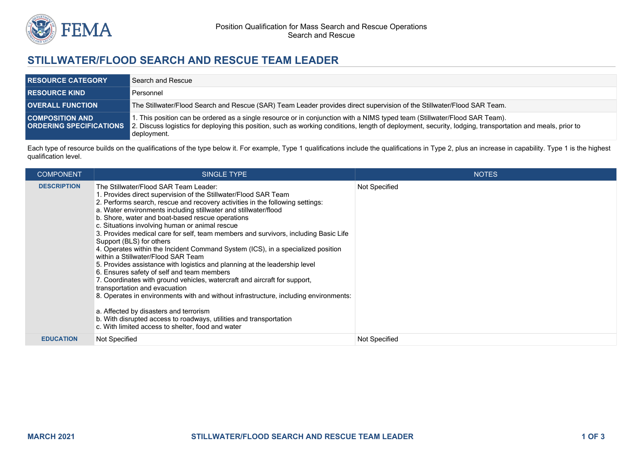

## **STILLWATER/FLOOD SEARCH AND RESCUE TEAM LEADER**

| <b>RESOURCE CATEGORY</b> | Search and Rescue                                                                                                                                                                                                                                                                                                              |
|--------------------------|--------------------------------------------------------------------------------------------------------------------------------------------------------------------------------------------------------------------------------------------------------------------------------------------------------------------------------|
| <b>RESOURCE KIND</b>     | Personnel                                                                                                                                                                                                                                                                                                                      |
| <b>OVERALL FUNCTION</b>  | The Stillwater/Flood Search and Rescue (SAR) Team Leader provides direct supervision of the Stillwater/Flood SAR Team.                                                                                                                                                                                                         |
| <b>COMPOSITION AND</b>   | 1. This position can be ordered as a single resource or in conjunction with a NIMS typed team (Stillwater/Flood SAR Team).<br>ORDERING SPECIFICATIONS 2. Discuss logistics for deploying this position, such as working conditions, length of deployment, security, lodging, transportation and meals, prior to<br>deployment. |

Each type of resource builds on the qualifications of the type below it. For example, Type 1 qualifications include the qualifications in Type 2, plus an increase in capability. Type 1 is the highest qualification level.

| <b>COMPONENT</b>   | <b>SINGLE TYPE</b>                                                                                                                                                                                                                                                                                                                                                                                                                                                                                                                                                                                                                                                                                                                                                                                                                                                                                                                                                                                                                                                                                                    | <b>NOTES</b>  |
|--------------------|-----------------------------------------------------------------------------------------------------------------------------------------------------------------------------------------------------------------------------------------------------------------------------------------------------------------------------------------------------------------------------------------------------------------------------------------------------------------------------------------------------------------------------------------------------------------------------------------------------------------------------------------------------------------------------------------------------------------------------------------------------------------------------------------------------------------------------------------------------------------------------------------------------------------------------------------------------------------------------------------------------------------------------------------------------------------------------------------------------------------------|---------------|
| <b>DESCRIPTION</b> | The Stillwater/Flood SAR Team Leader:<br>1. Provides direct supervision of the Stillwater/Flood SAR Team<br>2. Performs search, rescue and recovery activities in the following settings:<br>a. Water environments including stillwater and stillwater/flood<br>b. Shore, water and boat-based rescue operations<br>c. Situations involving human or animal rescue<br>3. Provides medical care for self, team members and survivors, including Basic Life<br>Support (BLS) for others<br>4. Operates within the Incident Command System (ICS), in a specialized position<br>within a Stillwater/Flood SAR Team<br>5. Provides assistance with logistics and planning at the leadership level<br>6. Ensures safety of self and team members<br>7. Coordinates with ground vehicles, watercraft and aircraft for support,<br>transportation and evacuation<br>8. Operates in environments with and without infrastructure, including environments:<br>a. Affected by disasters and terrorism<br>b. With disrupted access to roadways, utilities and transportation<br>c. With limited access to shelter, food and water | Not Specified |
| <b>EDUCATION</b>   | Not Specified                                                                                                                                                                                                                                                                                                                                                                                                                                                                                                                                                                                                                                                                                                                                                                                                                                                                                                                                                                                                                                                                                                         | Not Specified |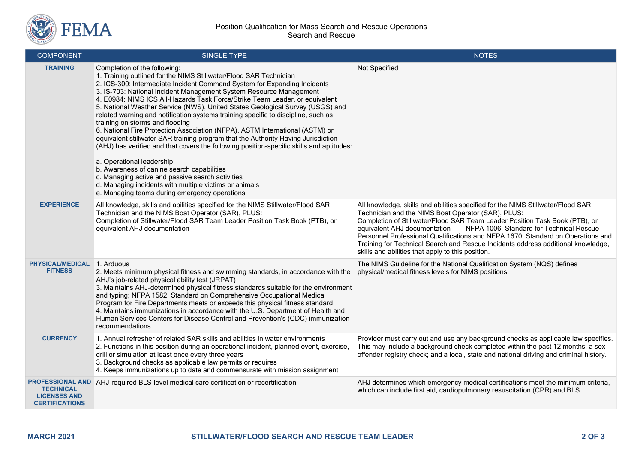

| <b>COMPONENT</b>                                                                            | <b>SINGLE TYPE</b>                                                                                                                                                                                                                                                                                                                                                                                                                                                                                                                                                                                                                                                                                                                                                                                                                                                                                                                                                                                                                                     | <b>NOTES</b>                                                                                                                                                                                                                                                                                                                                                                                                                                                                                                                 |
|---------------------------------------------------------------------------------------------|--------------------------------------------------------------------------------------------------------------------------------------------------------------------------------------------------------------------------------------------------------------------------------------------------------------------------------------------------------------------------------------------------------------------------------------------------------------------------------------------------------------------------------------------------------------------------------------------------------------------------------------------------------------------------------------------------------------------------------------------------------------------------------------------------------------------------------------------------------------------------------------------------------------------------------------------------------------------------------------------------------------------------------------------------------|------------------------------------------------------------------------------------------------------------------------------------------------------------------------------------------------------------------------------------------------------------------------------------------------------------------------------------------------------------------------------------------------------------------------------------------------------------------------------------------------------------------------------|
| <b>TRAINING</b>                                                                             | Completion of the following:<br>1. Training outlined for the NIMS Stillwater/Flood SAR Technician<br>2. ICS-300: Intermediate Incident Command System for Expanding Incidents<br>3. IS-703: National Incident Management System Resource Management<br>4. E0984: NIMS ICS All-Hazards Task Force/Strike Team Leader, or equivalent<br>5. National Weather Service (NWS), United States Geological Survey (USGS) and<br>related warning and notification systems training specific to discipline, such as<br>training on storms and flooding<br>6. National Fire Protection Association (NFPA), ASTM International (ASTM) or<br>equivalent stillwater SAR training program that the Authority Having Jurisdiction<br>(AHJ) has verified and that covers the following position-specific skills and aptitudes:<br>a. Operational leadership<br>b. Awareness of canine search capabilities<br>c. Managing active and passive search activities<br>d. Managing incidents with multiple victims or animals<br>e. Managing teams during emergency operations | Not Specified                                                                                                                                                                                                                                                                                                                                                                                                                                                                                                                |
| <b>EXPERIENCE</b>                                                                           | All knowledge, skills and abilities specified for the NIMS Stillwater/Flood SAR<br>Technician and the NIMS Boat Operator (SAR), PLUS:<br>Completion of Stillwater/Flood SAR Team Leader Position Task Book (PTB), or<br>equivalent AHJ documentation                                                                                                                                                                                                                                                                                                                                                                                                                                                                                                                                                                                                                                                                                                                                                                                                   | All knowledge, skills and abilities specified for the NIMS Stillwater/Flood SAR<br>Technician and the NIMS Boat Operator (SAR), PLUS:<br>Completion of Stillwater/Flood SAR Team Leader Position Task Book (PTB), or<br>NFPA 1006: Standard for Technical Rescue<br>equivalent AHJ documentation<br>Personnel Professional Qualifications and NFPA 1670: Standard on Operations and<br>Training for Technical Search and Rescue Incidents address additional knowledge,<br>skills and abilities that apply to this position. |
| <b>PHYSICAL/MEDICAL</b><br><b>FITNESS</b>                                                   | 1. Arduous<br>2. Meets minimum physical fitness and swimming standards, in accordance with the<br>AHJ's job-related physical ability test (JRPAT)<br>3. Maintains AHJ-determined physical fitness standards suitable for the environment<br>and typing; NFPA 1582: Standard on Comprehensive Occupational Medical<br>Program for Fire Departments meets or exceeds this physical fitness standard<br>4. Maintains immunizations in accordance with the U.S. Department of Health and<br>Human Services Centers for Disease Control and Prevention's (CDC) immunization<br>recommendations                                                                                                                                                                                                                                                                                                                                                                                                                                                              | The NIMS Guideline for the National Qualification System (NQS) defines<br>physical/medical fitness levels for NIMS positions.                                                                                                                                                                                                                                                                                                                                                                                                |
| <b>CURRENCY</b>                                                                             | 1. Annual refresher of related SAR skills and abilities in water environments<br>2. Functions in this position during an operational incident, planned event, exercise,<br>drill or simulation at least once every three years<br>3. Background checks as applicable law permits or requires<br>4. Keeps immunizations up to date and commensurate with mission assignment                                                                                                                                                                                                                                                                                                                                                                                                                                                                                                                                                                                                                                                                             | Provider must carry out and use any background checks as applicable law specifies.<br>This may include a background check completed within the past 12 months; a sex-<br>offender registry check; and a local, state and national driving and criminal history.                                                                                                                                                                                                                                                              |
| <b>PROFESSIONAL AND</b><br><b>TECHNICAL</b><br><b>LICENSES AND</b><br><b>CERTIFICATIONS</b> | AHJ-required BLS-level medical care certification or recertification                                                                                                                                                                                                                                                                                                                                                                                                                                                                                                                                                                                                                                                                                                                                                                                                                                                                                                                                                                                   | AHJ determines which emergency medical certifications meet the minimum criteria,<br>which can include first aid, cardiopulmonary resuscitation (CPR) and BLS.                                                                                                                                                                                                                                                                                                                                                                |